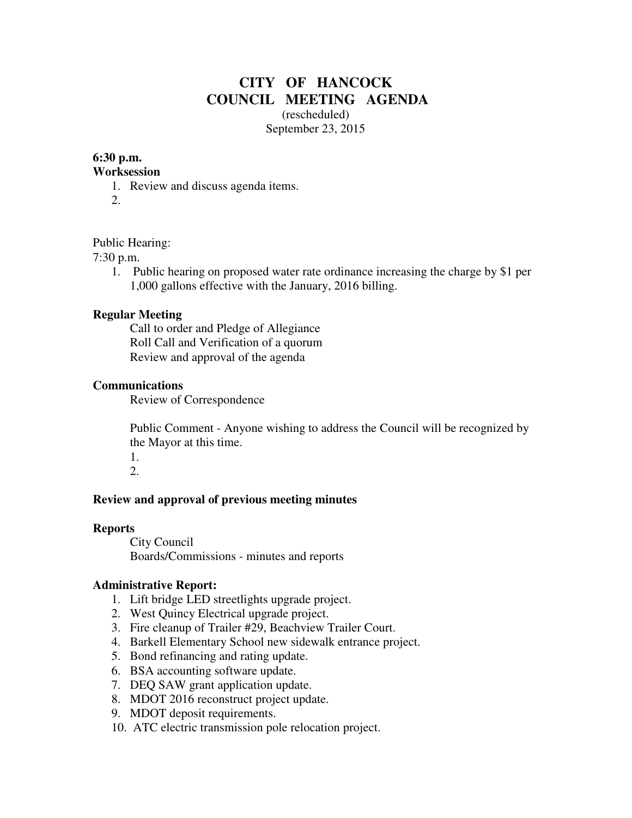# **CITY OF HANCOCK COUNCIL MEETING AGENDA**  (rescheduled)

September 23, 2015

# **6:30 p.m.**

#### **Worksession**

- 1. Review and discuss agenda items.
- 2.

# Public Hearing:

7:30 p.m.

1. Public hearing on proposed water rate ordinance increasing the charge by \$1 per 1,000 gallons effective with the January, 2016 billing.

# **Regular Meeting**

 Call to order and Pledge of Allegiance Roll Call and Verification of a quorum Review and approval of the agenda

#### **Communications**

Review of Correspondence

 Public Comment - Anyone wishing to address the Council will be recognized by the Mayor at this time.

1. 2.

# **Review and approval of previous meeting minutes**

#### **Reports**

City Council Boards/Commissions - minutes and reports

# **Administrative Report:**

- 1. Lift bridge LED streetlights upgrade project.
- 2. West Quincy Electrical upgrade project.
- 3. Fire cleanup of Trailer #29, Beachview Trailer Court.
- 4. Barkell Elementary School new sidewalk entrance project.
- 5. Bond refinancing and rating update.
- 6. BSA accounting software update.
- 7. DEQ SAW grant application update.
- 8. MDOT 2016 reconstruct project update.
- 9. MDOT deposit requirements.
- 10. ATC electric transmission pole relocation project.